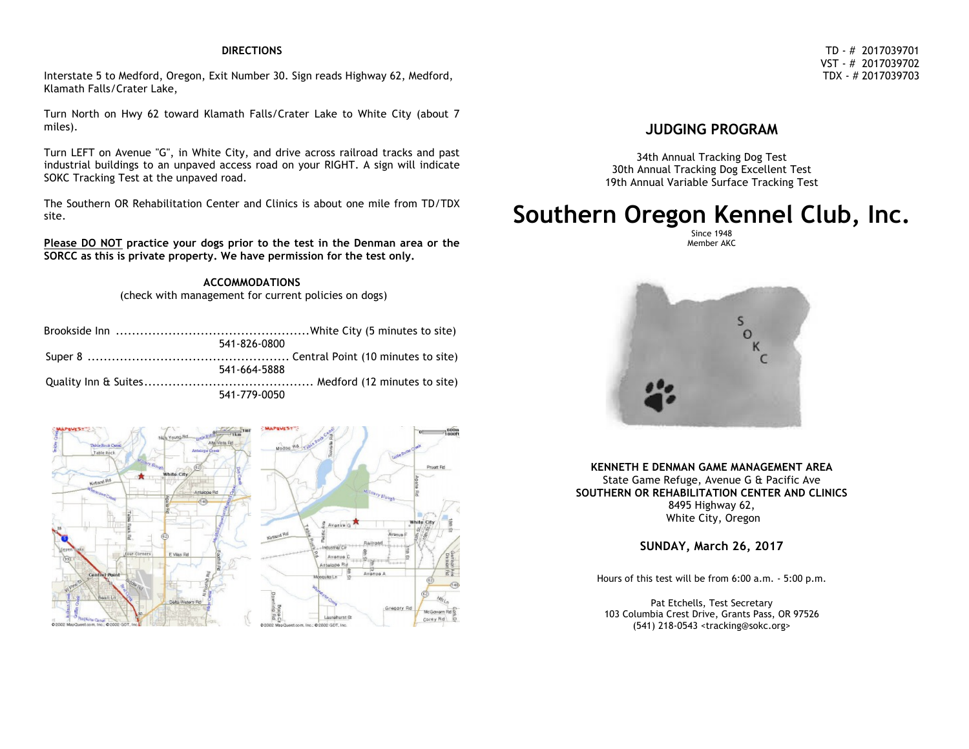#### **DIRECTIONS**

Interstate 5 to Medford, Oregon, Exit Number 30. Sign reads Highway 62, Medford, Klamath Falls/Crater Lake,

Turn North on Hwy 62 toward Klamath Falls/Crater Lake to White City (about 7 miles).

Turn LEFT on Avenue "G", in White City, and drive across railroad tracks and past industrial buildings to an unpaved access road on your RIGHT. A sign will indicate SOKC Tracking Test at the unpaved road.

The Southern OR Rehabilitation Center and Clinics is about one mile from TD/TDX site.

**Please DO NOT practice your dogs prior to the test in the Denman area or the SORCC as this is private property. We have permission for the test only.**

> **ACCOMMODATIONS** (check with management for current policies on dogs)

| 541-826-0800 |
|--------------|
|              |
| 541-664-5888 |
|              |
| 541-779-0050 |



# **JUDGING PROGRAM**

34th Annual Tracking Dog Test 30th Annual Tracking Dog Excellent Test 19th Annual Variable Surface Tracking Test

# **Southern Oregon Kennel Club, Inc.**

Since 1948 Member AKC



**KENNETH E DENMAN GAME MANAGEMENT AREA** State Game Refuge, Avenue G & Pacific Ave **SOUTHERN OR REHABILITATION CENTER AND CLINICS** 8495 Highway 62, White City, Oregon

**SUNDAY, March 26, 2017**

Hours of this test will be from 6:00 a.m. - 5:00 p.m.

Pat Etchells, Test Secretary 103 Columbia Crest Drive, Grants Pass, OR 97526 (541) 218-0543 <tracking@sokc.org>